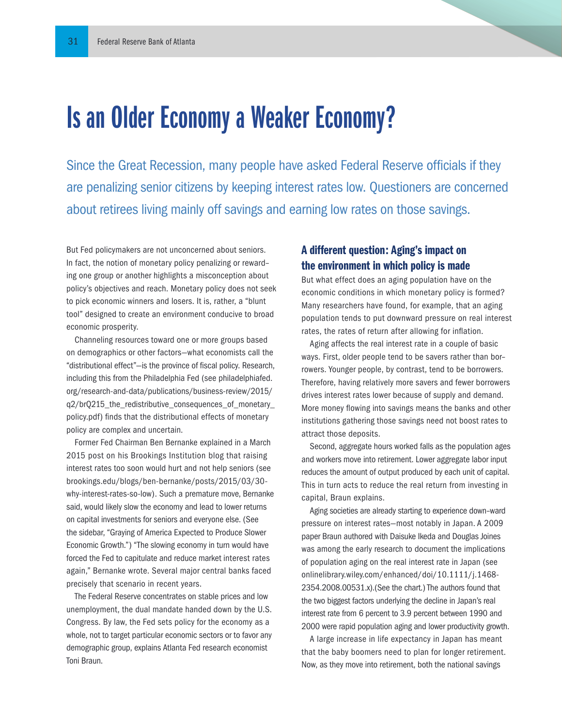# **Is an Older Economy a Weaker Economy?**

Since the Great Recession, many people have asked Federal Reserve officials if they are penalizing senior citizens by keeping interest rates low. Questioners are concerned about retirees living mainly off savings and earning low rates on those savings.

But Fed policymakers are not unconcerned about seniors. In fact, the notion of monetary policy penalizing or reward– ing one group or another highlights a misconception about policy's objectives and reach. Monetary policy does not seek to pick economic winners and losers. It is, rather, a "blunt tool" designed to create an environment conducive to broad economic prosperity.

Channeling resources toward one or more groups based on demographics or other factors—what economists call the "distributional effect"—is the province of fiscal policy. Research, including this from the Philadelphia Fed (see philadelphiafed. org/research-and-data/publications/business-review/2015/ q2/brQ215\_the\_redistributive\_consequences\_of\_monetary\_ policy.pdf) finds that the distributional effects of monetary policy are complex and uncertain.

Former Fed Chairman Ben Bernanke explained in a March 2015 post on his Brookings Institution blog that raising interest rates too soon would hurt and not help seniors (see brookings.edu/blogs/ben-bernanke/posts/2015/03/30 why-interest-rates-so-low). Such a premature move, Bernanke said, would likely slow the economy and lead to lower returns on capital investments for seniors and everyone else. (See the sidebar, "Graying of America Expected to Produce Slower Economic Growth.") "The slowing economy in turn would have forced the Fed to capitulate and reduce market interest rates again," Bernanke wrote. Several major central banks faced precisely that scenario in recent years.

The Federal Reserve concentrates on stable prices and low unemployment, the dual mandate handed down by the U.S. Congress. By law, the Fed sets policy for the economy as a whole, not to target particular economic sectors or to favor any demographic group, explains Atlanta Fed research economist Toni Braun.

## A different question: Aging's impact on the environment in which policy is made

But what effect does an aging population have on the economic conditions in which monetary policy is formed? Many researchers have found, for example, that an aging population tends to put downward pressure on real interest rates, the rates of return after allowing for inflation.

Aging affects the real interest rate in a couple of basic ways. First, older people tend to be savers rather than bor– rowers. Younger people, by contrast, tend to be borrowers. Therefore, having relatively more savers and fewer borrowers drives interest rates lower because of supply and demand. More money flowing into savings means the banks and other institutions gathering those savings need not boost rates to attract those deposits.

Second, aggregate hours worked falls as the population ages and workers move into retirement. Lower aggregate labor input reduces the amount of output produced by each unit of capital. This in turn acts to reduce the real return from investing in capital, Braun explains.

Aging societies are already starting to experience down–ward pressure on interest rates—most notably in Japan. A 2009 paper Braun authored with Daisuke Ikeda and Douglas Joines was among the early research to document the implications of population aging on the real interest rate in Japan (see onlinelibrary.wiley.com/enhanced/doi/10.1111/j.1468- 2354.2008.00531.x).(See the chart.) The authors found that the two biggest factors underlying the decline in Japan's real interest rate from 6 percent to 3.9 percent between 1990 and 2000 were rapid population aging and lower productivity growth.

A large increase in life expectancy in Japan has meant that the baby boomers need to plan for longer retirement. Now, as they move into retirement, both the national savings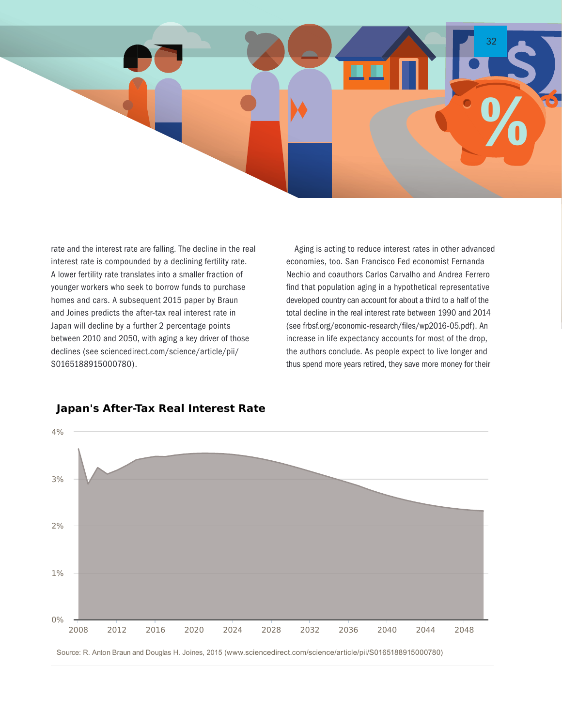

rate and the interest rate are falling. The decline in the real interest rate is compounded by a declining fertility rate. A lower fertility rate translates into a smaller fraction of younger workers who seek to borrow funds to purchase homes and cars. A subsequent 2015 paper by Braun and Joines predicts the after-tax real interest rate in Japan will decline by a further 2 percentage points between 2010 and 2050, with aging a key driver of those declines (see sciencedirect.com/science/article/pii/ S0165188915000780).

Aging is acting to reduce interest rates in other advanced economies, too. San Francisco Fed economist Fernanda Nechio and coauthors Carlos Carvalho and Andrea Ferrero find that population aging in a hypothetical representative developed country can account for about a third to a half of the total decline in the real interest rate between 1990 and 2014 (see frbsf.org/economic-research/files/wp2016-05.pdf). An increase in life expectancy accounts for most of the drop, the authors conclude. As people expect to live longer and thus spend more years retired, they save more money for their



### **Japan's After-Tax Real Interest Rate**

Source: R. Anton Braun and Douglas H. Joines, 2015 (www.sciencedirect.com/science/article/pii/S0165188915000780)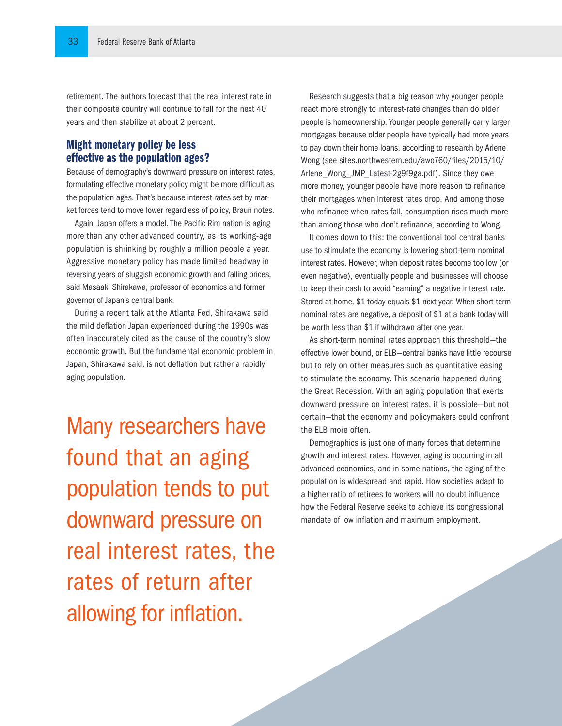retirement. The authors forecast that the real interest rate in their composite country will continue to fall for the next 40 years and then stabilize at about 2 percent.

### Might monetary policy be less effective as the population ages?

Because of demography's downward pressure on interest rates, formulating effective monetary policy might be more difficult as the population ages. That's because interest rates set by market forces tend to move lower regardless of policy, Braun notes.

Again, Japan offers a model. The Pacific Rim nation is aging more than any other advanced country, as its working-age population is shrinking by roughly a million people a year. Aggressive monetary policy has made limited headway in reversing years of sluggish economic growth and falling prices, said Masaaki Shirakawa, professor of economics and former governor of Japan's central bank.

During a recent talk at the Atlanta Fed, Shirakawa said the mild deflation Japan experienced during the 1990s was often inaccurately cited as the cause of the country's slow economic growth. But the fundamental economic problem in Japan, Shirakawa said, is not deflation but rather a rapidly aging population.

Many researchers have found that an aging population tends to put downward pressure on real interest rates, the rates of return after allowing for inflation.

Research suggests that a big reason why younger people react more strongly to interest-rate changes than do older people is homeownership. Younger people generally carry larger mortgages because older people have typically had more years to pay down their home loans, according to research by Arlene Wong (see sites.northwestern.edu/awo760/files/2015/10/ Arlene\_Wong\_JMP\_Latest-2g9f9ga.pdf). Since they owe more money, younger people have more reason to refinance their mortgages when interest rates drop. And among those who refinance when rates fall, consumption rises much more than among those who don't refinance, according to Wong.

It comes down to this: the conventional tool central banks use to stimulate the economy is lowering short-term nominal interest rates. However, when deposit rates become too low (or even negative), eventually people and businesses will choose to keep their cash to avoid "earning" a negative interest rate. Stored at home, \$1 today equals \$1 next year. When short-term nominal rates are negative, a deposit of \$1 at a bank today will be worth less than \$1 if withdrawn after one year.

As short-term nominal rates approach this threshold—the effective lower bound, or ELB—central banks have little recourse but to rely on other measures such as quantitative easing to stimulate the economy. This scenario happened during the Great Recession. With an aging population that exerts downward pressure on interest rates, it is possible—but not certain—that the economy and policymakers could confront the ELB more often.

Demographics is just one of many forces that determine growth and interest rates. However, aging is occurring in all advanced economies, and in some nations, the aging of the population is widespread and rapid. How societies adapt to a higher ratio of retirees to workers will no doubt influence how the Federal Reserve seeks to achieve its congressional mandate of low inflation and maximum employment.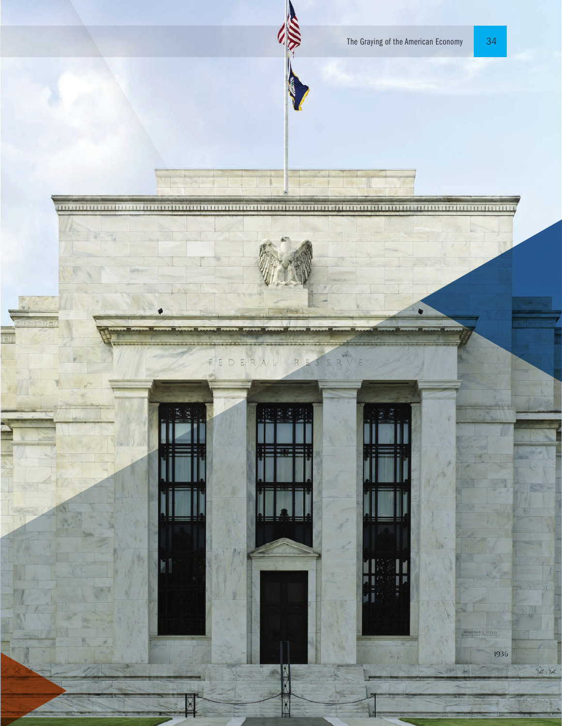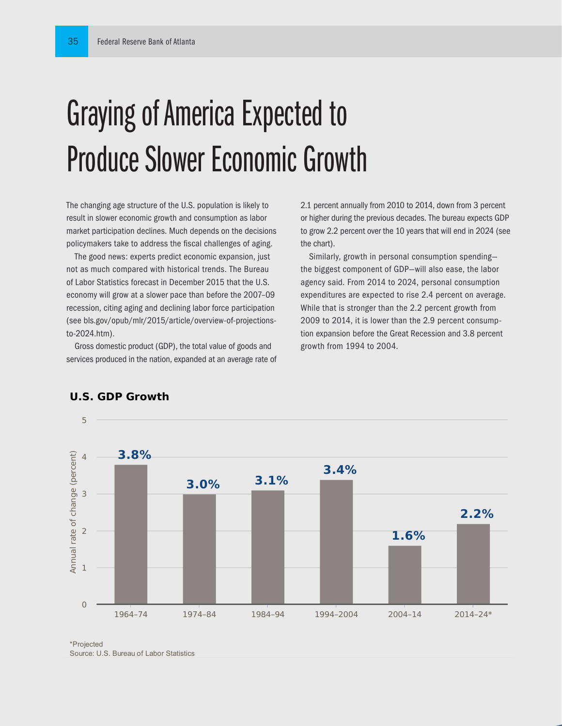# Graying of America Expected to Produce Slower Economic Growth

The changing age structure of the U.S. population is likely to result in slower economic growth and consumption as labor market participation declines. Much depends on the decisions policymakers take to address the fiscal challenges of aging.

The good news: experts predict economic expansion, just not as much compared with historical trends. The Bureau of Labor Statistics forecast in December 2015 that the U.S. economy will grow at a slower pace than before the 2007–09 recession, citing aging and declining labor force participation (see bls.gov/opub/mlr/2015/article/overview-of-projectionsto-2024.htm).

Gross domestic product (GDP), the total value of goods and services produced in the nation, expanded at an average rate of 2.1 percent annually from 2010 to 2014, down from 3 percent or higher during the previous decades. The bureau expects GDP to grow 2.2 percent over the 10 years that will end in 2024 (see the chart).

Similarly, growth in personal consumption spending the biggest component of GDP—will also ease, the labor agency said. From 2014 to 2024, personal consumption expenditures are expected to rise 2.4 percent on average. While that is stronger than the 2.2 percent growth from 2009 to 2014, it is lower than the 2.9 percent consumption expansion before the Great Recession and 3.8 percent growth from 1994 to 2004.



### **U.S. GDP Growth**

\*Projected